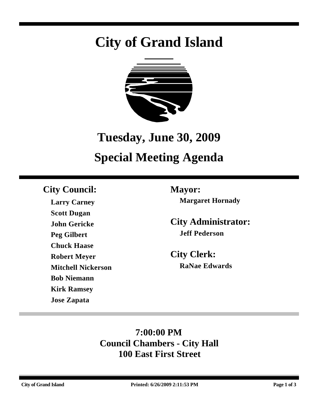# **City of Grand Island**



# **Tuesday, June 30, 2009 Special Meeting Agenda**

# **City Council: Mayor:**

**Larry Carney Scott Dugan John Gericke Peg Gilbert Chuck Haase Robert Meyer Mitchell Nickerson Bob Niemann Kirk Ramsey Jose Zapata**

**Margaret Hornady**

**City Administrator: Jeff Pederson**

**City Clerk: RaNae Edwards**

# **7:00:00 PM Council Chambers - City Hall 100 East First Street**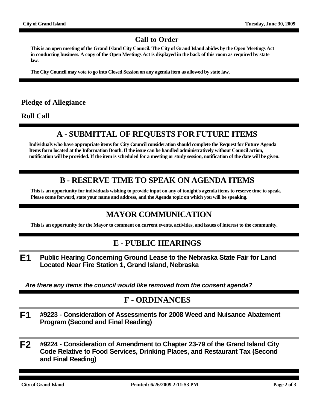#### **Call to Order**

**This is an open meeting of the Grand Island City Council. The City of Grand Island abides by the Open Meetings Act in conducting business. A copy of the Open Meetings Act is displayed in the back of this room as required by state law.**

**The City Council may vote to go into Closed Session on any agenda item as allowed by state law.**

#### **Pledge of Allegiance**

**Roll Call**

## **A - SUBMITTAL OF REQUESTS FOR FUTURE ITEMS**

**Individuals who have appropriate items for City Council consideration should complete the Request for Future Agenda Items form located at the Information Booth. If the issue can be handled administratively without Council action, notification will be provided. If the item is scheduled for a meeting or study session, notification of the date will be given.**

### **B - RESERVE TIME TO SPEAK ON AGENDA ITEMS**

**This is an opportunity for individuals wishing to provide input on any of tonight's agenda items to reserve time to speak. Please come forward, state your name and address, and the Agenda topic on which you will be speaking.**

### **MAYOR COMMUNICATION**

**This is an opportunity for the Mayor to comment on current events, activities, and issues of interest to the community.**

#### **E - PUBLIC HEARINGS**

**E1 Public Hearing Concerning Ground Lease to the Nebraska State Fair for Land Located Near Fire Station 1, Grand Island, Nebraska**

*Are there any items the council would like removed from the consent agenda?*

#### **F - ORDINANCES**

- **F1 #9223 Consideration of Assessments for 2008 Weed and Nuisance Abatement Program (Second and Final Reading)**
- **F2 #9224 Consideration of Amendment to Chapter 23-79 of the Grand Island City Code Relative to Food Services, Drinking Places, and Restaurant Tax (Second and Final Reading)**